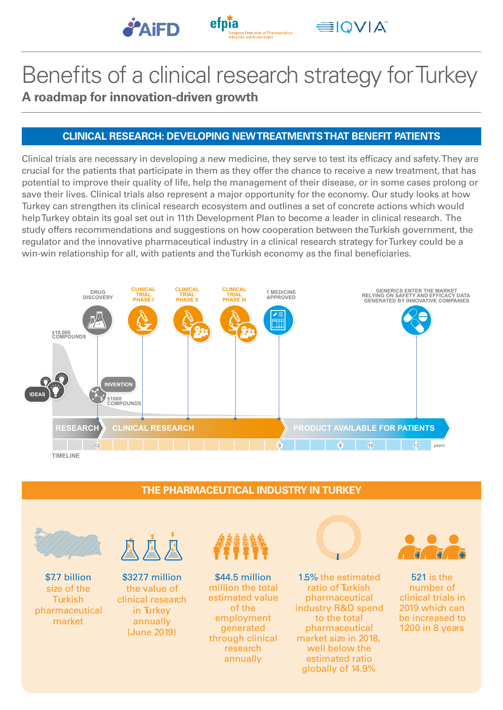



**EIOVIA** 

# **A roadmap for innovation-driven growth** Benefits of a clinical research strategy for Turkey

## **CLINICAL RESEARCH: DEVELOPING NEW TREATMENTS THAT BENEFIT PATIENTS**

Clinical trials are necessary in developing a new medicine, they serve to test its efficacy and safety. They are crucial for the patients that participate in them as they offer the chance to receive a new treatment, that has potential to improve their quality of life, help the management of their disease, or in some cases prolong or save their lives. Clinical trials also represent a major opportunity for the economy. Our study looks at how Turkey can strengthen its clinical research ecosystem and outlines a set of concrete actions which would help Turkey obtain its goal set out in 11th Development Plan to become a leader in clinical research. The study offers recommendations and suggestions on how cooperation between the Turkish government, the regulator and the innovative pharmaceutical industry in a clinical research strategy for Turkey could be a win-win relationship for all, with patients and the Turkish economy as the final beneficiaries.



### **THE PHARMACEUTICAL INDUSTRY IN TURKEY**



\$7.7 billion size of the **Turkish** pharmaceutical market



\$327.7 million the value of clinical research in Turkey annually (June 2019)



\$44.5 million million the total estimated value of the employment generated through clinical research annually



1.5% the estimated ratio of Turkish pharmaceutical industry R&D spend to the total pharmaceutical market size in 2018, well below the estimated ratio globally of 14.9%



521 is the number of clinical trials in 2019 which can be increased to 1200 in 8 years